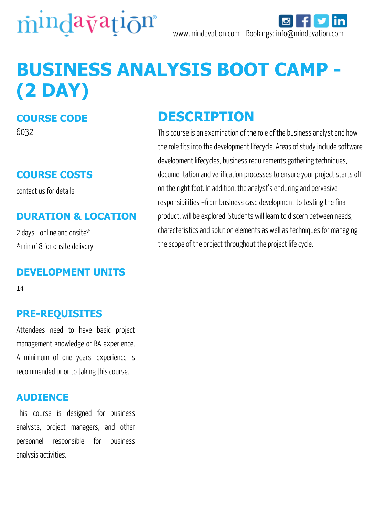

# **BUSINESS ANALYSIS BOOT CAMP - (2 DAY)**

## **COURSE CODE**

6032

### **COURSE COSTS**

contact us for details

#### **DURATION & LOCATION**

2 days - online and onsite\* \*min of 8 for onsite delivery

#### **DEVELOPMENT UNITS**

14

#### **PRE-REQUISITES**

Attendees need to have basic project management knowledge or BA experience. A minimum of one years' experience is recommended prior to taking this course.

#### **AUDIENCE**

This course is designed for business analysts, project managers, and other personnel responsible for business analysis activities.

# **DESCRIPTION**

This course is an examination of the role of the business analyst and how the role fits into the development lifecycle. Areas of study include software development lifecycles, business requirements gathering techniques, documentation and verification processes to ensure your project starts off on the right foot. In addition, the analyst's enduring and pervasive responsibilities –from business case development to testing the final product, will be explored. Students will learn to discern between needs, characteristics and solution elements as well as techniques for managing the scope of the project throughout the project life cycle.